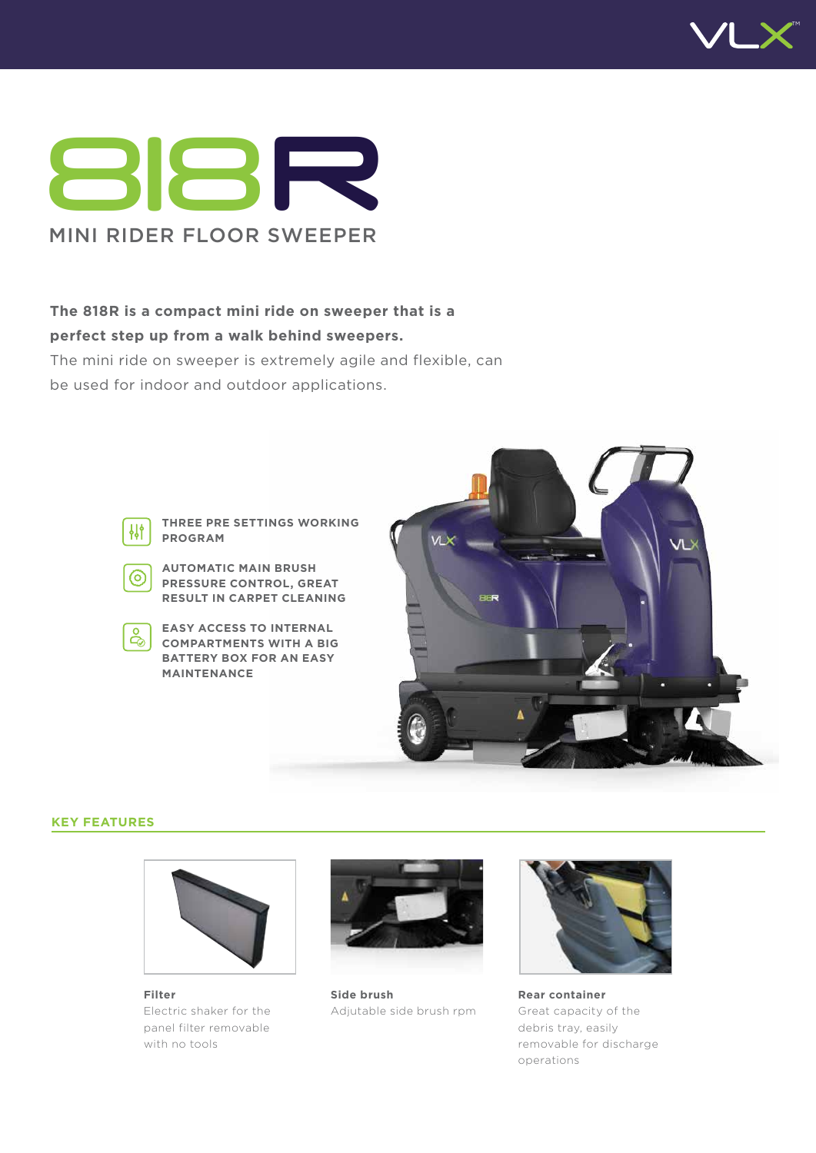



# **The 818R is a compact mini ride on sweeper that is a**

**perfect step up from a walk behind sweepers.** 

The mini ride on sweeper is extremely agile and flexible, can be used for indoor and outdoor applications.



**THREE PRE SETTINGS WORKING PROGRAM**

**AUTOMATIC MAIN BRUSH**  (ර) **PRESSURE CONTROL, GREAT RESULT IN CARPET CLEANING**

**EASY ACCESS TO INTERNAL COMPARTMENTS WITH A BIG BATTERY BOX FOR AN EASY MAINTENANCE**



#### **KEY FEATURES**



**Filter** Electric shaker for the panel filter removable with no tools



**Side brush** Adjutable side brush rpm



**Rear container** Great capacity of the debris tray, easily removable for discharge operations